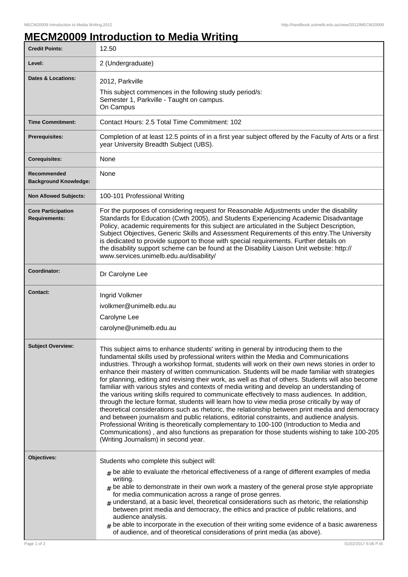## **MECM20009 Introduction to Media Writing**

| Level:                                            | 2 (Undergraduate)                                                                                                                                                                                                                                                                                                                                                                                                                                                                                                                                                                                                                                                                                                                                                                                                                                                                                                                                                                                                                                                                                                                                                                                                              |
|---------------------------------------------------|--------------------------------------------------------------------------------------------------------------------------------------------------------------------------------------------------------------------------------------------------------------------------------------------------------------------------------------------------------------------------------------------------------------------------------------------------------------------------------------------------------------------------------------------------------------------------------------------------------------------------------------------------------------------------------------------------------------------------------------------------------------------------------------------------------------------------------------------------------------------------------------------------------------------------------------------------------------------------------------------------------------------------------------------------------------------------------------------------------------------------------------------------------------------------------------------------------------------------------|
| Dates & Locations:                                | 2012, Parkville<br>This subject commences in the following study period/s:<br>Semester 1, Parkville - Taught on campus.<br>On Campus                                                                                                                                                                                                                                                                                                                                                                                                                                                                                                                                                                                                                                                                                                                                                                                                                                                                                                                                                                                                                                                                                           |
| <b>Time Commitment:</b>                           | Contact Hours: 2.5 Total Time Commitment: 102                                                                                                                                                                                                                                                                                                                                                                                                                                                                                                                                                                                                                                                                                                                                                                                                                                                                                                                                                                                                                                                                                                                                                                                  |
| <b>Prerequisites:</b>                             | Completion of at least 12.5 points of in a first year subject offered by the Faculty of Arts or a first<br>year University Breadth Subject (UBS).                                                                                                                                                                                                                                                                                                                                                                                                                                                                                                                                                                                                                                                                                                                                                                                                                                                                                                                                                                                                                                                                              |
| <b>Corequisites:</b>                              | None                                                                                                                                                                                                                                                                                                                                                                                                                                                                                                                                                                                                                                                                                                                                                                                                                                                                                                                                                                                                                                                                                                                                                                                                                           |
| Recommended<br><b>Background Knowledge:</b>       | None                                                                                                                                                                                                                                                                                                                                                                                                                                                                                                                                                                                                                                                                                                                                                                                                                                                                                                                                                                                                                                                                                                                                                                                                                           |
| <b>Non Allowed Subjects:</b>                      | 100-101 Professional Writing                                                                                                                                                                                                                                                                                                                                                                                                                                                                                                                                                                                                                                                                                                                                                                                                                                                                                                                                                                                                                                                                                                                                                                                                   |
| <b>Core Participation</b><br><b>Requirements:</b> | For the purposes of considering request for Reasonable Adjustments under the disability<br>Standards for Education (Cwth 2005), and Students Experiencing Academic Disadvantage<br>Policy, academic requirements for this subject are articulated in the Subject Description,<br>Subject Objectives, Generic Skills and Assessment Requirements of this entry. The University<br>is dedicated to provide support to those with special requirements. Further details on<br>the disability support scheme can be found at the Disability Liaison Unit website: http://<br>www.services.unimelb.edu.au/disability/                                                                                                                                                                                                                                                                                                                                                                                                                                                                                                                                                                                                               |
| Coordinator:                                      | Dr Carolyne Lee                                                                                                                                                                                                                                                                                                                                                                                                                                                                                                                                                                                                                                                                                                                                                                                                                                                                                                                                                                                                                                                                                                                                                                                                                |
| <b>Contact:</b>                                   | Ingrid Volkmer<br>ivolkmer@unimelb.edu.au<br>Carolyne Lee<br>carolyne@unimelb.edu.au                                                                                                                                                                                                                                                                                                                                                                                                                                                                                                                                                                                                                                                                                                                                                                                                                                                                                                                                                                                                                                                                                                                                           |
| <b>Subject Overview:</b>                          | This subject aims to enhance students' writing in general by introducing them to the<br>fundamental skills used by professional writers within the Media and Communications<br>industries. Through a workshop format, students will work on their own news stories in order to<br>enhance their mastery of written communication. Students will be made familiar with strategies<br>for planning, editing and revising their work, as well as that of others. Students will also become<br>familiar with various styles and contexts of media writing and develop an understanding of<br>the various writing skills required to communicate effectively to mass audiences. In addition,<br>through the lecture format, students will learn how to view media prose critically by way of<br>theoretical considerations such as rhetoric, the relationship between print media and democracy<br>and between journalism and public relations, editorial constraints, and audience analysis.<br>Professional Writing is theoretically complementary to 100-100 (Introduction to Media and<br>Communications), and also functions as preparation for those students wishing to take 100-205<br>(Writing Journalism) in second year. |
| Objectives:<br>Page 1 of 2                        | Students who complete this subject will:<br>$_{\text{\#}}$ be able to evaluate the rhetorical effectiveness of a range of different examples of media<br>writing.<br>$#$ be able to demonstrate in their own work a mastery of the general prose style appropriate<br>for media communication across a range of prose genres.<br>$#$ understand, at a basic level, theoretical considerations such as rhetoric, the relationship<br>between print media and democracy, the ethics and practice of public relations, and<br>audience analysis.<br>be able to incorporate in the execution of their writing some evidence of a basic awareness<br>of audience, and of theoretical considerations of print media (as above).<br>01/02/2017 6:06 P.M.                                                                                                                                                                                                                                                                                                                                                                                                                                                                              |